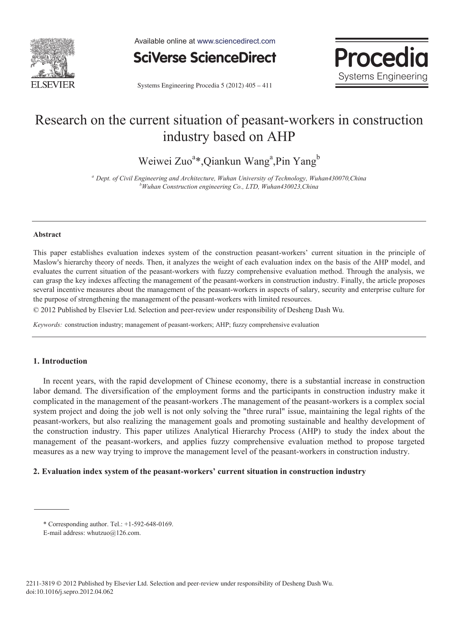

Available online at www.sciencedirect.com



Procedia Systems Engineerinc

Systems Engineering Procedia 5 (2012) 405 – 411

# Research on the current situation of peasant-workers in construction industry based on AHP

Weiwei Zuo<sup>a</sup>\*, Qiankun Wang<sup>a</sup>, Pin Yang<sup>b</sup>

*<sup>a</sup> Dept. of Civil Engineering and Architecture, Wuhan University of Technology, Wuhan430070,China b Wuhan Construction engineering Co., LTD, Wuhan430023,China* 

#### **Abstract**

This paper establishes evaluation indexes system of the construction peasant-workers' current situation in the principle of Maslow's hierarchy theory of needs. Then, it analyzes the weight of each evaluation index on the basis of the AHP model, and evaluates the current situation of the peasant-workers with fuzzy comprehensive evaluation method. Through the analysis, we can grasp the key indexes affecting the management of the peasant-workers in construction industry. Finally, the article proposes several incentive measures about the management of the peasant-workers in aspects of salary, security and enterprise culture for the purpose of strengthening the management of the peasant-workers with limited resources.

© 2010 Published by Elsevier Ltd. © 2012 Published by Elsevier Ltd. Selection and peer-review under responsibility of Desheng Dash Wu.

*Keywords:* construction industry; management of peasant-workers; AHP; fuzzy comprehensive evaluation

# **1. Introduction**

In recent years, with the rapid development of Chinese economy, there is a substantial increase in construction labor demand. The diversification of the employment forms and the participants in construction industry make it complicated in the management of the peasant-workers .The management of the peasant-workers is a complex social system project and doing the job well is not only solving the "three rural" issue, maintaining the legal rights of the peasant-workers, but also realizing the management goals and promoting sustainable and healthy development of the construction industry. This paper utilizes Analytical Hierarchy Process (AHP) to study the index about the management of the peasant-workers, and applies fuzzy comprehensive evaluation method to propose targeted measures as a new way trying to improve the management level of the peasant-workers in construction industry.

# **2. Evaluation index system of the peasant-workers' current situation in construction industry**

<sup>\*</sup> Corresponding author. Tel.: +1-592-648-0169.

E-mail address: whutzuo@126.com.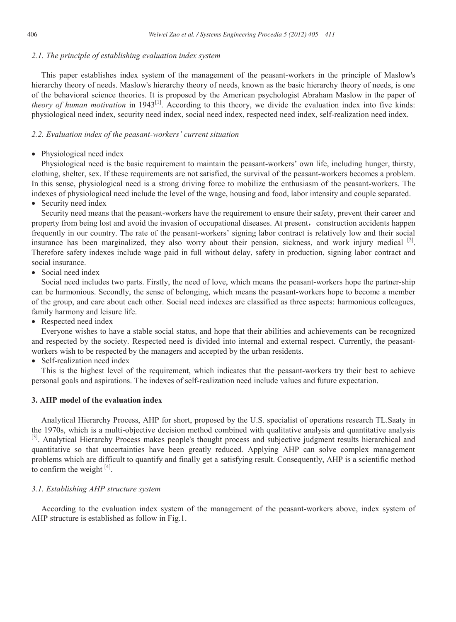## *2.1. The principle of establishing evaluation index system*

This paper establishes index system of the management of the peasant-workers in the principle of Maslow's hierarchy theory of needs. Maslow's hierarchy theory of needs, known as the basic hierarchy theory of needs, is one of the behavioral science theories. It is proposed by the American psychologist Abraham Maslow in the paper of *theory of human motivation* in 1943<sup>[1]</sup>. According to this theory, we divide the evaluation index into five kinds: physiological need index, security need index, social need index, respected need index, self-realization need index.

## *2.2. Evaluation index of the peasant-workers' current situation*

## • Physiological need index

Physiological need is the basic requirement to maintain the peasant-workers' own life, including hunger, thirsty, clothing, shelter, sex. If these requirements are not satisfied, the survival of the peasant-workers becomes a problem. In this sense, physiological need is a strong driving force to mobilize the enthusiasm of the peasant-workers. The indexes of physiological need include the level of the wage, housing and food, labor intensity and couple separated.

# • Security need index

Security need means that the peasant-workers have the requirement to ensure their safety, prevent their career and property from being lost and avoid the invasion of occupational diseases. At present, construction accidents happen frequently in our country. The rate of the peasant-workers' signing labor contract is relatively low and their social insurance has been marginalized, they also worry about their pension, sickness, and work injury medical  $\left[\begin{array}{c}2\end{array}\right]$ . Therefore safety indexes include wage paid in full without delay, safety in production, signing labor contract and social insurance.

# x Social need index

Social need includes two parts. Firstly, the need of love, which means the peasant-workers hope the partner-ship can be harmonious. Secondly, the sense of belonging, which means the peasant-workers hope to become a member of the group, and care about each other. Social need indexes are classified as three aspects: harmonious colleagues, family harmony and leisure life.

# • Respected need index

Everyone wishes to have a stable social status, and hope that their abilities and achievements can be recognized and respected by the society. Respected need is divided into internal and external respect. Currently, the peasantworkers wish to be respected by the managers and accepted by the urban residents.

# • Self-realization need index

This is the highest level of the requirement, which indicates that the peasant-workers try their best to achieve personal goals and aspirations. The indexes of self-realization need include values and future expectation.

## **3. AHP model of the evaluation index**

Analytical Hierarchy Process, AHP for short, proposed by the U.S. specialist of operations research TL.Saaty in the 1970s, which is a multi-objective decision method combined with qualitative analysis and quantitative analysis <sup>[3]</sup>. Analytical Hierarchy Process makes people's thought process and subjective judgment results hierarchical and quantitative so that uncertainties have been greatly reduced. Applying AHP can solve complex management problems which are difficult to quantify and finally get a satisfying result. Consequently, AHP is a scientific method to confirm the weight  $[4]$ .

## *3.1. Establishing AHP structure system*

According to the evaluation index system of the management of the peasant-workers above, index system of AHP structure is established as follow in Fig.1.